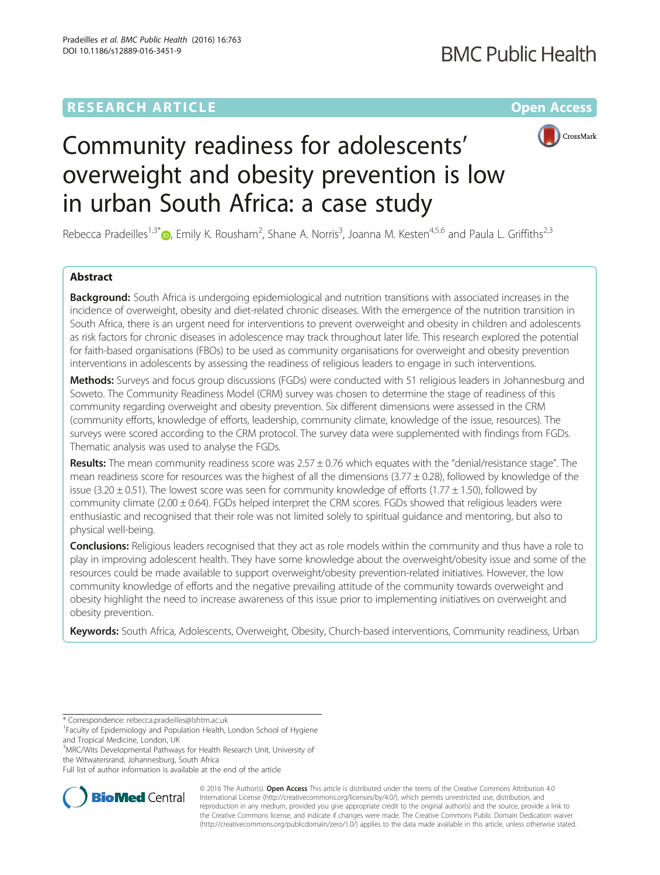## **RESEARCH ARTICLE Example 2014 12:30 The Company Access** (RESEARCH ARTICLE



# Community readiness for adolescents' overweight and obesity prevention is low in urban South Africa: a case study

Rebecca Pradeilles<sup>1,3[\\*](http://orcid.org/0000-0003-0334-3714)</sup> D, Emily K. Rousham<sup>2</sup>, Shane A. Norris<sup>3</sup>, Joanna M. Kesten<sup>4,5,6</sup> and Paula L. Griffiths<sup>2,3</sup>

#### Abstract

**Background:** South Africa is undergoing epidemiological and nutrition transitions with associated increases in the incidence of overweight, obesity and diet-related chronic diseases. With the emergence of the nutrition transition in South Africa, there is an urgent need for interventions to prevent overweight and obesity in children and adolescents as risk factors for chronic diseases in adolescence may track throughout later life. This research explored the potential for faith-based organisations (FBOs) to be used as community organisations for overweight and obesity prevention interventions in adolescents by assessing the readiness of religious leaders to engage in such interventions.

Methods: Surveys and focus group discussions (FGDs) were conducted with 51 religious leaders in Johannesburg and Soweto. The Community Readiness Model (CRM) survey was chosen to determine the stage of readiness of this community regarding overweight and obesity prevention. Six different dimensions were assessed in the CRM (community efforts, knowledge of efforts, leadership, community climate, knowledge of the issue, resources). The surveys were scored according to the CRM protocol. The survey data were supplemented with findings from FGDs. Thematic analysis was used to analyse the FGDs.

Results: The mean community readiness score was  $2.57 \pm 0.76$  which equates with the "denial/resistance stage". The mean readiness score for resources was the highest of all the dimensions  $(3.77 \pm 0.28)$ , followed by knowledge of the issue (3.20  $\pm$  0.51). The lowest score was seen for community knowledge of efforts (1.77  $\pm$  1.50), followed by community climate (2.00 ± 0.64). FGDs helped interpret the CRM scores. FGDs showed that religious leaders were enthusiastic and recognised that their role was not limited solely to spiritual guidance and mentoring, but also to physical well-being.

**Conclusions:** Religious leaders recognised that they act as role models within the community and thus have a role to play in improving adolescent health. They have some knowledge about the overweight/obesity issue and some of the resources could be made available to support overweight/obesity prevention-related initiatives. However, the low community knowledge of efforts and the negative prevailing attitude of the community towards overweight and obesity highlight the need to increase awareness of this issue prior to implementing initiatives on overweight and obesity prevention.

Keywords: South Africa, Adolescents, Overweight, Obesity, Church-based interventions, Community readiness, Urban

<sup>3</sup>MRC/Wits Developmental Pathways for Health Research Unit, University of the Witwatersrand, Johannesburg, South Africa

Full list of author information is available at the end of the article



© 2016 The Author(s). Open Access This article is distributed under the terms of the Creative Commons Attribution 4.0 International License [\(http://creativecommons.org/licenses/by/4.0/](http://creativecommons.org/licenses/by/4.0/)), which permits unrestricted use, distribution, and reproduction in any medium, provided you give appropriate credit to the original author(s) and the source, provide a link to the Creative Commons license, and indicate if changes were made. The Creative Commons Public Domain Dedication waiver [\(http://creativecommons.org/publicdomain/zero/1.0/](http://creativecommons.org/publicdomain/zero/1.0/)) applies to the data made available in this article, unless otherwise stated.

<sup>\*</sup> Correspondence: [rebecca.pradeilles@lshtm.ac.uk](mailto:rebecca.pradeilles@lshtm.ac.uk) <sup>1</sup>

<sup>&</sup>lt;sup>1</sup> Faculty of Epidemiology and Population Health, London School of Hygiene and Tropical Medicine, London, UK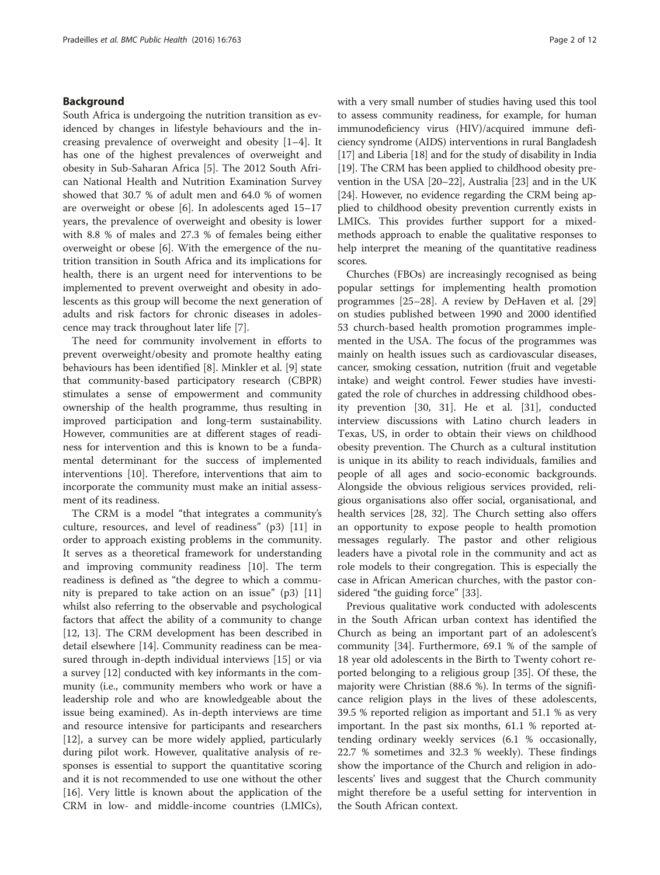#### Background

South Africa is undergoing the nutrition transition as evidenced by changes in lifestyle behaviours and the increasing prevalence of overweight and obesity [[1](#page-10-0)–[4\]](#page-10-0). It has one of the highest prevalences of overweight and obesity in Sub-Saharan Africa [[5\]](#page-10-0). The 2012 South African National Health and Nutrition Examination Survey showed that 30.7 % of adult men and 64.0 % of women are overweight or obese [[6\]](#page-10-0). In adolescents aged 15–17 years, the prevalence of overweight and obesity is lower with 8.8 % of males and 27.3 % of females being either overweight or obese [[6](#page-10-0)]. With the emergence of the nutrition transition in South Africa and its implications for health, there is an urgent need for interventions to be implemented to prevent overweight and obesity in adolescents as this group will become the next generation of adults and risk factors for chronic diseases in adolescence may track throughout later life [[7\]](#page-10-0).

The need for community involvement in efforts to prevent overweight/obesity and promote healthy eating behaviours has been identified [[8\]](#page-10-0). Minkler et al. [[9\]](#page-10-0) state that community-based participatory research (CBPR) stimulates a sense of empowerment and community ownership of the health programme, thus resulting in improved participation and long-term sustainability. However, communities are at different stages of readiness for intervention and this is known to be a fundamental determinant for the success of implemented interventions [\[10\]](#page-10-0). Therefore, interventions that aim to incorporate the community must make an initial assessment of its readiness.

The CRM is a model "that integrates a community's culture, resources, and level of readiness" (p3) [[11\]](#page-10-0) in order to approach existing problems in the community. It serves as a theoretical framework for understanding and improving community readiness [[10\]](#page-10-0). The term readiness is defined as "the degree to which a community is prepared to take action on an issue" (p3) [[11](#page-10-0)] whilst also referring to the observable and psychological factors that affect the ability of a community to change [[12, 13\]](#page-10-0). The CRM development has been described in detail elsewhere [\[14](#page-10-0)]. Community readiness can be measured through in-depth individual interviews [[15\]](#page-10-0) or via a survey [\[12](#page-10-0)] conducted with key informants in the community (i.e., community members who work or have a leadership role and who are knowledgeable about the issue being examined). As in-depth interviews are time and resource intensive for participants and researchers [[12\]](#page-10-0), a survey can be more widely applied, particularly during pilot work. However, qualitative analysis of responses is essential to support the quantitative scoring and it is not recommended to use one without the other [[16\]](#page-10-0). Very little is known about the application of the CRM in low- and middle-income countries (LMICs), with a very small number of studies having used this tool to assess community readiness, for example, for human immunodeficiency virus (HIV)/acquired immune deficiency syndrome (AIDS) interventions in rural Bangladesh [[17](#page-10-0)] and Liberia [[18](#page-10-0)] and for the study of disability in India [[19](#page-10-0)]. The CRM has been applied to childhood obesity prevention in the USA [\[20](#page-10-0)–[22](#page-10-0)], Australia [[23](#page-10-0)] and in the UK [[24](#page-10-0)]. However, no evidence regarding the CRM being applied to childhood obesity prevention currently exists in LMICs. This provides further support for a mixedmethods approach to enable the qualitative responses to help interpret the meaning of the quantitative readiness scores.

Churches (FBOs) are increasingly recognised as being popular settings for implementing health promotion programmes [[25](#page-10-0)–[28](#page-10-0)]. A review by DeHaven et al. [[29](#page-10-0)] on studies published between 1990 and 2000 identified 53 church-based health promotion programmes implemented in the USA. The focus of the programmes was mainly on health issues such as cardiovascular diseases, cancer, smoking cessation, nutrition (fruit and vegetable intake) and weight control. Fewer studies have investigated the role of churches in addressing childhood obesity prevention [[30, 31](#page-11-0)]. He et al. [\[31](#page-11-0)], conducted interview discussions with Latino church leaders in Texas, US, in order to obtain their views on childhood obesity prevention. The Church as a cultural institution is unique in its ability to reach individuals, families and people of all ages and socio-economic backgrounds. Alongside the obvious religious services provided, religious organisations also offer social, organisational, and health services [\[28](#page-10-0), [32](#page-11-0)]. The Church setting also offers an opportunity to expose people to health promotion messages regularly. The pastor and other religious leaders have a pivotal role in the community and act as role models to their congregation. This is especially the case in African American churches, with the pastor considered "the guiding force" [[33\]](#page-11-0).

Previous qualitative work conducted with adolescents in the South African urban context has identified the Church as being an important part of an adolescent's community [[34\]](#page-11-0). Furthermore, 69.1 % of the sample of 18 year old adolescents in the Birth to Twenty cohort reported belonging to a religious group [[35](#page-11-0)]. Of these, the majority were Christian (88.6 %). In terms of the significance religion plays in the lives of these adolescents, 39.5 % reported religion as important and 51.1 % as very important. In the past six months, 61.1 % reported attending ordinary weekly services (6.1 % occasionally, 22.7 % sometimes and 32.3 % weekly). These findings show the importance of the Church and religion in adolescents' lives and suggest that the Church community might therefore be a useful setting for intervention in the South African context.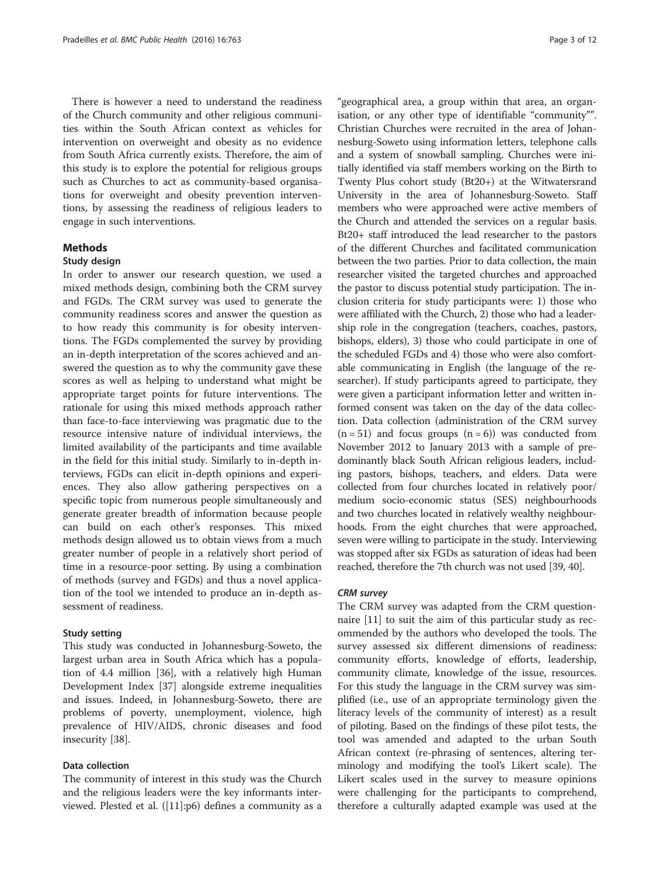There is however a need to understand the readiness of the Church community and other religious communities within the South African context as vehicles for intervention on overweight and obesity as no evidence from South Africa currently exists. Therefore, the aim of this study is to explore the potential for religious groups such as Churches to act as community-based organisations for overweight and obesity prevention interventions, by assessing the readiness of religious leaders to engage in such interventions.

#### Methods

#### Study design

In order to answer our research question, we used a mixed methods design, combining both the CRM survey and FGDs. The CRM survey was used to generate the community readiness scores and answer the question as to how ready this community is for obesity interventions. The FGDs complemented the survey by providing an in-depth interpretation of the scores achieved and answered the question as to why the community gave these scores as well as helping to understand what might be appropriate target points for future interventions. The rationale for using this mixed methods approach rather than face-to-face interviewing was pragmatic due to the resource intensive nature of individual interviews, the limited availability of the participants and time available in the field for this initial study. Similarly to in-depth interviews, FGDs can elicit in-depth opinions and experiences. They also allow gathering perspectives on a specific topic from numerous people simultaneously and generate greater breadth of information because people can build on each other's responses. This mixed methods design allowed us to obtain views from a much greater number of people in a relatively short period of time in a resource-poor setting. By using a combination of methods (survey and FGDs) and thus a novel application of the tool we intended to produce an in-depth assessment of readiness.

#### Study setting

This study was conducted in Johannesburg-Soweto, the largest urban area in South Africa which has a population of 4.4 million [[36\]](#page-11-0), with a relatively high Human Development Index [[37](#page-11-0)] alongside extreme inequalities and issues. Indeed, in Johannesburg-Soweto, there are problems of poverty, unemployment, violence, high prevalence of HIV/AIDS, chronic diseases and food insecurity [[38](#page-11-0)].

#### Data collection

The community of interest in this study was the Church and the religious leaders were the key informants interviewed. Plested et al. ([[11](#page-10-0)]:p6) defines a community as a

"geographical area, a group within that area, an organisation, or any other type of identifiable "community"". Christian Churches were recruited in the area of Johannesburg-Soweto using information letters, telephone calls and a system of snowball sampling. Churches were initially identified via staff members working on the Birth to Twenty Plus cohort study (Bt20+) at the Witwatersrand University in the area of Johannesburg-Soweto. Staff members who were approached were active members of the Church and attended the services on a regular basis. Bt20+ staff introduced the lead researcher to the pastors of the different Churches and facilitated communication between the two parties. Prior to data collection, the main researcher visited the targeted churches and approached the pastor to discuss potential study participation. The inclusion criteria for study participants were: 1) those who were affiliated with the Church, 2) those who had a leadership role in the congregation (teachers, coaches, pastors, bishops, elders), 3) those who could participate in one of the scheduled FGDs and 4) those who were also comfortable communicating in English (the language of the researcher). If study participants agreed to participate, they were given a participant information letter and written informed consent was taken on the day of the data collection. Data collection (administration of the CRM survey  $(n = 51)$  and focus groups  $(n = 6)$ ) was conducted from November 2012 to January 2013 with a sample of predominantly black South African religious leaders, including pastors, bishops, teachers, and elders. Data were collected from four churches located in relatively poor/ medium socio-economic status (SES) neighbourhoods and two churches located in relatively wealthy neighbourhoods. From the eight churches that were approached, seven were willing to participate in the study. Interviewing was stopped after six FGDs as saturation of ideas had been reached, therefore the 7th church was not used [[39](#page-11-0), [40\]](#page-11-0).

#### CRM survey

The CRM survey was adapted from the CRM questionnaire [[11\]](#page-10-0) to suit the aim of this particular study as recommended by the authors who developed the tools. The survey assessed six different dimensions of readiness: community efforts, knowledge of efforts, leadership, community climate, knowledge of the issue, resources. For this study the language in the CRM survey was simplified (i.e., use of an appropriate terminology given the literacy levels of the community of interest) as a result of piloting. Based on the findings of these pilot tests, the tool was amended and adapted to the urban South African context (re-phrasing of sentences, altering terminology and modifying the tool's Likert scale). The Likert scales used in the survey to measure opinions were challenging for the participants to comprehend, therefore a culturally adapted example was used at the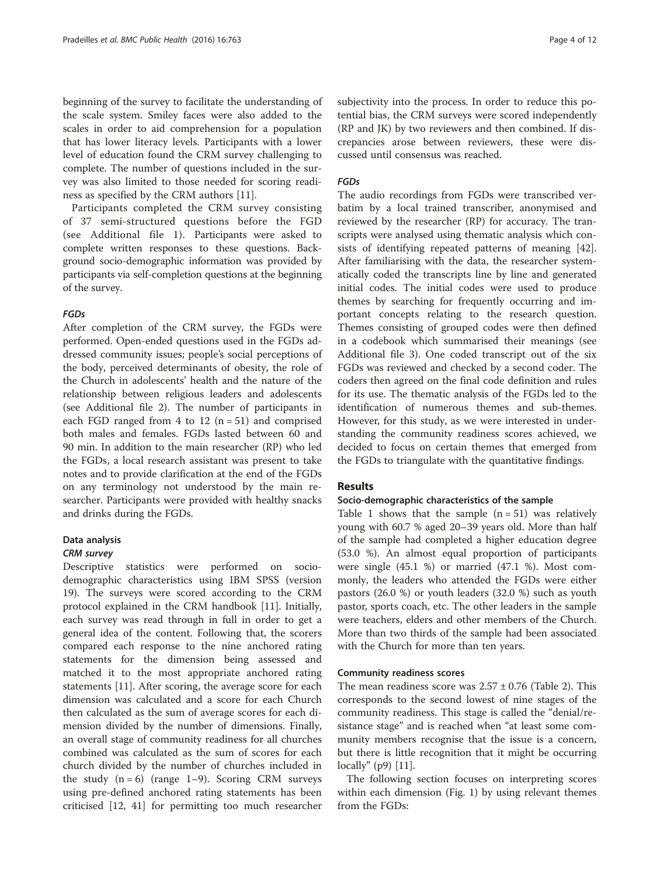beginning of the survey to facilitate the understanding of the scale system. Smiley faces were also added to the scales in order to aid comprehension for a population that has lower literacy levels. Participants with a lower level of education found the CRM survey challenging to complete. The number of questions included in the survey was also limited to those needed for scoring readiness as specified by the CRM authors [[11](#page-10-0)].

Participants completed the CRM survey consisting of 37 semi-structured questions before the FGD (see Additional file [1](#page-9-0)). Participants were asked to complete written responses to these questions. Background socio-demographic information was provided by participants via self-completion questions at the beginning of the survey.

#### FGDs

After completion of the CRM survey, the FGDs were performed. Open-ended questions used in the FGDs addressed community issues; people's social perceptions of the body, perceived determinants of obesity, the role of the Church in adolescents' health and the nature of the relationship between religious leaders and adolescents (see Additional file [2\)](#page-9-0). The number of participants in each FGD ranged from 4 to 12  $(n = 51)$  and comprised both males and females. FGDs lasted between 60 and 90 min. In addition to the main researcher (RP) who led the FGDs, a local research assistant was present to take notes and to provide clarification at the end of the FGDs on any terminology not understood by the main researcher. Participants were provided with healthy snacks and drinks during the FGDs.

#### Data analysis

#### CRM survey

Descriptive statistics were performed on sociodemographic characteristics using IBM SPSS (version 19). The surveys were scored according to the CRM protocol explained in the CRM handbook [[11](#page-10-0)]. Initially, each survey was read through in full in order to get a general idea of the content. Following that, the scorers compared each response to the nine anchored rating statements for the dimension being assessed and matched it to the most appropriate anchored rating statements [[11\]](#page-10-0). After scoring, the average score for each dimension was calculated and a score for each Church then calculated as the sum of average scores for each dimension divided by the number of dimensions. Finally, an overall stage of community readiness for all churches combined was calculated as the sum of scores for each church divided by the number of churches included in the study  $(n = 6)$  (range 1–9). Scoring CRM surveys using pre-defined anchored rating statements has been criticised [[12](#page-10-0), [41\]](#page-11-0) for permitting too much researcher subjectivity into the process. In order to reduce this potential bias, the CRM surveys were scored independently (RP and JK) by two reviewers and then combined. If discrepancies arose between reviewers, these were discussed until consensus was reached.

#### FGDs

The audio recordings from FGDs were transcribed verbatim by a local trained transcriber, anonymised and reviewed by the researcher (RP) for accuracy. The transcripts were analysed using thematic analysis which consists of identifying repeated patterns of meaning [\[42](#page-11-0)]. After familiarising with the data, the researcher systematically coded the transcripts line by line and generated initial codes. The initial codes were used to produce themes by searching for frequently occurring and important concepts relating to the research question. Themes consisting of grouped codes were then defined in a codebook which summarised their meanings (see Additional file [3](#page-9-0)). One coded transcript out of the six FGDs was reviewed and checked by a second coder. The coders then agreed on the final code definition and rules for its use. The thematic analysis of the FGDs led to the identification of numerous themes and sub-themes. However, for this study, as we were interested in understanding the community readiness scores achieved, we decided to focus on certain themes that emerged from the FGDs to triangulate with the quantitative findings.

#### **Results**

#### Socio-demographic characteristics of the sample

Table [1](#page-4-0) shows that the sample  $(n = 51)$  was relatively young with 60.7 % aged 20–39 years old. More than half of the sample had completed a higher education degree (53.0 %). An almost equal proportion of participants were single (45.1 %) or married (47.1 %). Most commonly, the leaders who attended the FGDs were either pastors (26.0 %) or youth leaders (32.0 %) such as youth pastor, sports coach, etc. The other leaders in the sample were teachers, elders and other members of the Church. More than two thirds of the sample had been associated with the Church for more than ten years.

#### Community readiness scores

The mean readiness score was  $2.57 \pm 0.76$  (Table [2](#page-5-0)). This corresponds to the second lowest of nine stages of the community readiness. This stage is called the "denial/resistance stage" and is reached when "at least some community members recognise that the issue is a concern, but there is little recognition that it might be occurring locally" (p9) [[11\]](#page-10-0).

The following section focuses on interpreting scores within each dimension (Fig. [1](#page-5-0)) by using relevant themes from the FGDs: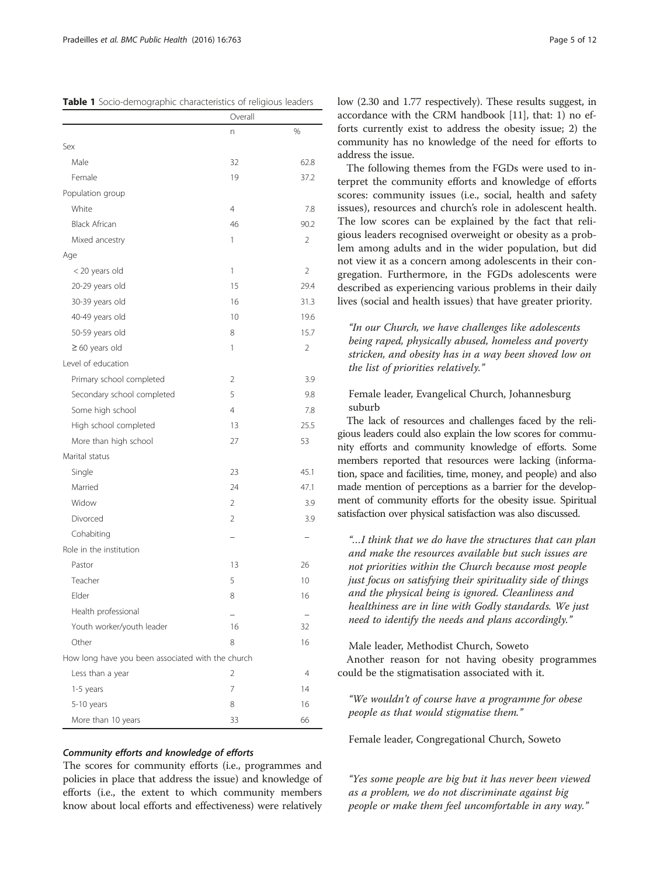<span id="page-4-0"></span>

|  |  |  | Table 1 Socio-demographic characteristics of religious leaders |
|--|--|--|----------------------------------------------------------------|
|--|--|--|----------------------------------------------------------------|

|                                                   | Overall        |                |  |  |
|---------------------------------------------------|----------------|----------------|--|--|
|                                                   | n              | %              |  |  |
| Sex                                               |                |                |  |  |
| Male                                              | 32             | 62.8           |  |  |
| Female                                            | 19             | 37.2           |  |  |
| Population group                                  |                |                |  |  |
| White                                             | 4              | 7.8            |  |  |
| <b>Black African</b>                              | 46             | 90.2           |  |  |
| Mixed ancestry                                    | 1              | 2              |  |  |
| Age                                               |                |                |  |  |
| < 20 years old                                    | 1              | 2              |  |  |
| 20-29 years old                                   | 15             | 29.4           |  |  |
| 30-39 years old                                   | 16             | 31.3           |  |  |
| 40-49 years old                                   | 10             | 19.6           |  |  |
| 50-59 years old                                   | 8              | 15.7           |  |  |
| $\geq 60$ years old                               | 1              | $\overline{2}$ |  |  |
| Level of education                                |                |                |  |  |
| Primary school completed                          | $\overline{2}$ | 3.9            |  |  |
| Secondary school completed                        | 5              | 9.8            |  |  |
| Some high school                                  | 4              | 7.8            |  |  |
| High school completed                             | 13             | 25.5           |  |  |
| More than high school                             | 27             | 53             |  |  |
| Marital status                                    |                |                |  |  |
| Single                                            | 23             | 45.1           |  |  |
| Married                                           | 24             | 47.1           |  |  |
| Widow                                             | 2              | 3.9            |  |  |
| Divorced                                          | 2              | 3.9            |  |  |
| Cohabiting                                        |                |                |  |  |
| Role in the institution                           |                |                |  |  |
| Pastor                                            | 13             | 26             |  |  |
| Teacher                                           | 5              | 10             |  |  |
| Elder                                             | 8              | 16             |  |  |
| Health professional                               |                |                |  |  |
| Youth worker/youth leader                         | 16             | 32             |  |  |
| Other                                             | 8              | 16             |  |  |
| How long have you been associated with the church |                |                |  |  |
| Less than a year                                  | 2              | 4              |  |  |
| 1-5 years                                         | 7              | 14             |  |  |
| 5-10 years                                        | 8              | 16             |  |  |
| More than 10 years                                | 33             | 66             |  |  |

#### Community efforts and knowledge of efforts

The scores for community efforts (i.e., programmes and policies in place that address the issue) and knowledge of efforts (i.e., the extent to which community members know about local efforts and effectiveness) were relatively

low (2.30 and 1.77 respectively). These results suggest, in accordance with the CRM handbook [\[11](#page-10-0)], that: 1) no efforts currently exist to address the obesity issue; 2) the community has no knowledge of the need for efforts to address the issue.

The following themes from the FGDs were used to interpret the community efforts and knowledge of efforts scores: community issues (i.e., social, health and safety issues), resources and church's role in adolescent health. The low scores can be explained by the fact that religious leaders recognised overweight or obesity as a problem among adults and in the wider population, but did not view it as a concern among adolescents in their congregation. Furthermore, in the FGDs adolescents were described as experiencing various problems in their daily lives (social and health issues) that have greater priority.

"In our Church, we have challenges like adolescents being raped, physically abused, homeless and poverty stricken, and obesity has in a way been shoved low on the list of priorities relatively."

#### Female leader, Evangelical Church, Johannesburg suburb

The lack of resources and challenges faced by the religious leaders could also explain the low scores for community efforts and community knowledge of efforts. Some members reported that resources were lacking (information, space and facilities, time, money, and people) and also made mention of perceptions as a barrier for the development of community efforts for the obesity issue. Spiritual satisfaction over physical satisfaction was also discussed.

"…I think that we do have the structures that can plan and make the resources available but such issues are not priorities within the Church because most people just focus on satisfying their spirituality side of things and the physical being is ignored. Cleanliness and healthiness are in line with Godly standards. We just need to identify the needs and plans accordingly."

Male leader, Methodist Church, Soweto Another reason for not having obesity programmes could be the stigmatisation associated with it.

"We wouldn't of course have a programme for obese people as that would stigmatise them."

Female leader, Congregational Church, Soweto

"Yes some people are big but it has never been viewed as a problem, we do not discriminate against big people or make them feel uncomfortable in any way."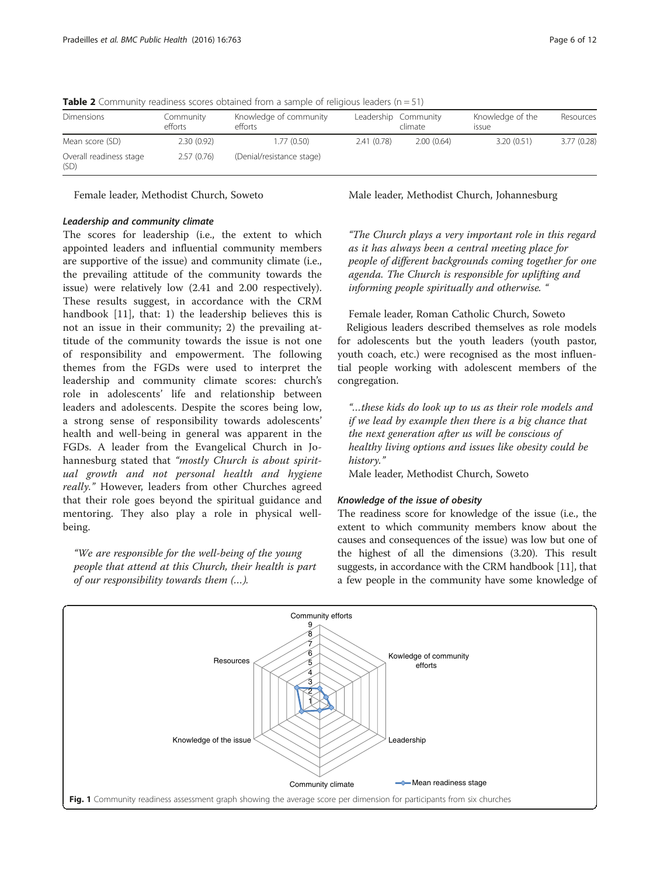| $\blacksquare$ . The set of the set of the set of the set of the set of the set of the set of the set of the set of $\blacksquare$ |                      |                                   |            |                                 |                           |             |  |  |
|------------------------------------------------------------------------------------------------------------------------------------|----------------------|-----------------------------------|------------|---------------------------------|---------------------------|-------------|--|--|
| <b>Dimensions</b>                                                                                                                  | Community<br>efforts | Knowledge of community<br>efforts |            | Leadership Community<br>climate | Knowledge of the<br>issue | Resources   |  |  |
| Mean score (SD)                                                                                                                    | 2.30(0.92)           | 1.77(0.50)                        | 2.41(0.78) | 2.00(0.64)                      | 3.20(0.51)                | 3.77 (0.28) |  |  |
| Overall readiness stage<br>(SD)                                                                                                    | 2.57(0.76)           | (Denial/resistance stage)         |            |                                 |                           |             |  |  |

<span id="page-5-0"></span>**Table 2** Community readiness scores obtained from a sample of religious leaders ( $n = 51$ )

#### Female leader, Methodist Church, Soweto

#### Leadership and community climate

The scores for leadership (i.e., the extent to which appointed leaders and influential community members are supportive of the issue) and community climate (i.e., the prevailing attitude of the community towards the issue) were relatively low (2.41 and 2.00 respectively). These results suggest, in accordance with the CRM handbook [[11\]](#page-10-0), that: 1) the leadership believes this is not an issue in their community; 2) the prevailing attitude of the community towards the issue is not one of responsibility and empowerment. The following themes from the FGDs were used to interpret the leadership and community climate scores: church's role in adolescents' life and relationship between leaders and adolescents. Despite the scores being low, a strong sense of responsibility towards adolescents' health and well-being in general was apparent in the FGDs. A leader from the Evangelical Church in Johannesburg stated that "mostly Church is about spiritual growth and not personal health and hygiene really." However, leaders from other Churches agreed that their role goes beyond the spiritual guidance and mentoring. They also play a role in physical wellbeing.

"We are responsible for the well-being of the young people that attend at this Church, their health is part of our responsibility towards them (…).

Male leader, Methodist Church, Johannesburg

"The Church plays a very important role in this regard as it has always been a central meeting place for people of different backgrounds coming together for one agenda. The Church is responsible for uplifting and informing people spiritually and otherwise. "

Female leader, Roman Catholic Church, Soweto

Religious leaders described themselves as role models for adolescents but the youth leaders (youth pastor, youth coach, etc.) were recognised as the most influential people working with adolescent members of the congregation.

"…these kids do look up to us as their role models and if we lead by example then there is a big chance that the next generation after us will be conscious of healthy living options and issues like obesity could be history."

Male leader, Methodist Church, Soweto

#### Knowledge of the issue of obesity

The readiness score for knowledge of the issue (i.e., the extent to which community members know about the causes and consequences of the issue) was low but one of the highest of all the dimensions (3.20). This result suggests, in accordance with the CRM handbook [\[11](#page-10-0)], that a few people in the community have some knowledge of

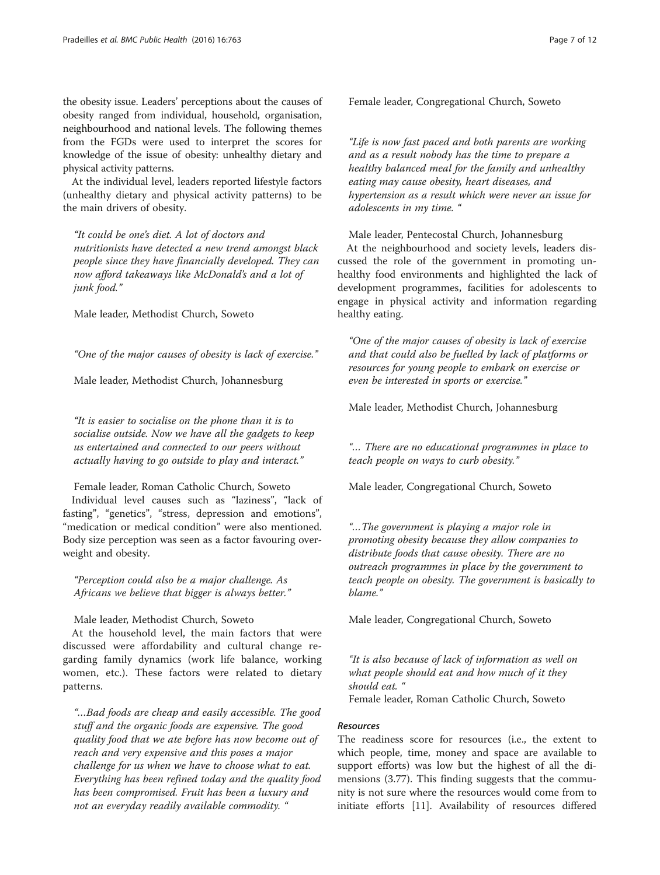the obesity issue. Leaders' perceptions about the causes of obesity ranged from individual, household, organisation, neighbourhood and national levels. The following themes from the FGDs were used to interpret the scores for knowledge of the issue of obesity: unhealthy dietary and physical activity patterns.

At the individual level, leaders reported lifestyle factors (unhealthy dietary and physical activity patterns) to be the main drivers of obesity.

"It could be one's diet. A lot of doctors and nutritionists have detected a new trend amongst black people since they have financially developed. They can now afford takeaways like McDonald's and a lot of junk food."

Male leader, Methodist Church, Soweto

"One of the major causes of obesity is lack of exercise."

Male leader, Methodist Church, Johannesburg

"It is easier to socialise on the phone than it is to socialise outside. Now we have all the gadgets to keep us entertained and connected to our peers without actually having to go outside to play and interact."

Female leader, Roman Catholic Church, Soweto Individual level causes such as "laziness", "lack of fasting", "genetics", "stress, depression and emotions", "medication or medical condition" were also mentioned. Body size perception was seen as a factor favouring overweight and obesity.

"Perception could also be a major challenge. As Africans we believe that bigger is always better."

Male leader, Methodist Church, Soweto

At the household level, the main factors that were discussed were affordability and cultural change regarding family dynamics (work life balance, working women, etc.). These factors were related to dietary patterns.

"…Bad foods are cheap and easily accessible. The good stuff and the organic foods are expensive. The good quality food that we ate before has now become out of reach and very expensive and this poses a major challenge for us when we have to choose what to eat. Everything has been refined today and the quality food has been compromised. Fruit has been a luxury and not an everyday readily available commodity. "

Female leader, Congregational Church, Soweto

"Life is now fast paced and both parents are working and as a result nobody has the time to prepare a healthy balanced meal for the family and unhealthy eating may cause obesity, heart diseases, and hypertension as a result which were never an issue for adolescents in my time. "

Male leader, Pentecostal Church, Johannesburg At the neighbourhood and society levels, leaders discussed the role of the government in promoting unhealthy food environments and highlighted the lack of development programmes, facilities for adolescents to engage in physical activity and information regarding healthy eating.

"One of the major causes of obesity is lack of exercise and that could also be fuelled by lack of platforms or resources for young people to embark on exercise or even be interested in sports or exercise."

Male leader, Methodist Church, Johannesburg

"… There are no educational programmes in place to teach people on ways to curb obesity."

Male leader, Congregational Church, Soweto

"…The government is playing a major role in promoting obesity because they allow companies to distribute foods that cause obesity. There are no outreach programmes in place by the government to teach people on obesity. The government is basically to blame."

Male leader, Congregational Church, Soweto

"It is also because of lack of information as well on what people should eat and how much of it they should eat. " Female leader, Roman Catholic Church, Soweto

#### Resources

The readiness score for resources (i.e., the extent to which people, time, money and space are available to support efforts) was low but the highest of all the dimensions (3.77). This finding suggests that the community is not sure where the resources would come from to initiate efforts [[11\]](#page-10-0). Availability of resources differed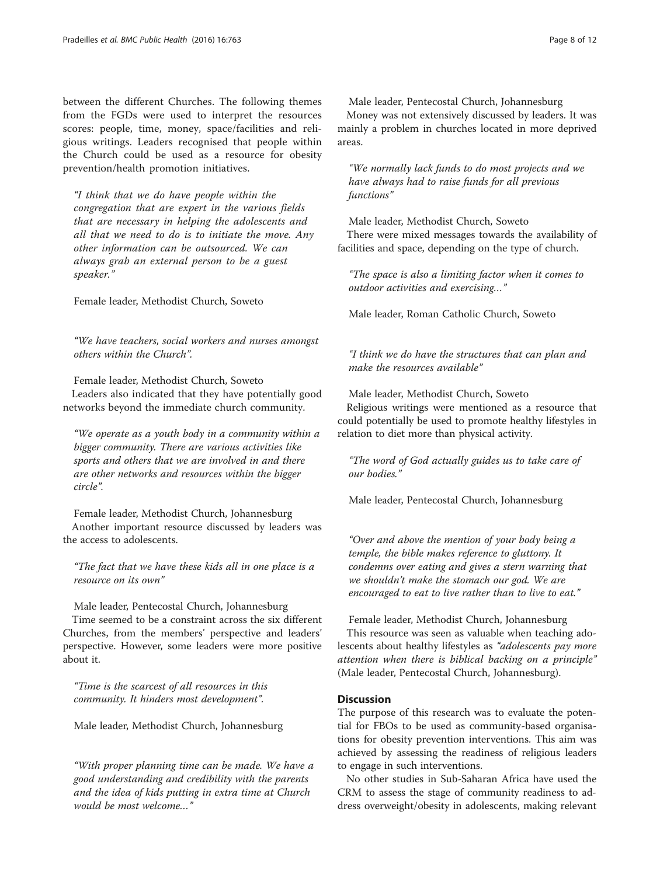between the different Churches. The following themes from the FGDs were used to interpret the resources scores: people, time, money, space/facilities and religious writings. Leaders recognised that people within the Church could be used as a resource for obesity prevention/health promotion initiatives.

"I think that we do have people within the congregation that are expert in the various fields that are necessary in helping the adolescents and all that we need to do is to initiate the move. Any other information can be outsourced. We can always grab an external person to be a guest speaker."

Female leader, Methodist Church, Soweto

"We have teachers, social workers and nurses amongst others within the Church".

Female leader, Methodist Church, Soweto Leaders also indicated that they have potentially good networks beyond the immediate church community.

"We operate as a youth body in a community within a bigger community. There are various activities like sports and others that we are involved in and there are other networks and resources within the bigger circle".

Female leader, Methodist Church, Johannesburg Another important resource discussed by leaders was the access to adolescents.

"The fact that we have these kids all in one place is a resource on its own"

Male leader, Pentecostal Church, Johannesburg Time seemed to be a constraint across the six different Churches, from the members' perspective and leaders' perspective. However, some leaders were more positive about it.

"Time is the scarcest of all resources in this community. It hinders most development".

Male leader, Methodist Church, Johannesburg

"With proper planning time can be made. We have a good understanding and credibility with the parents and the idea of kids putting in extra time at Church would be most welcome…"

Male leader, Pentecostal Church, Johannesburg Money was not extensively discussed by leaders. It was mainly a problem in churches located in more deprived areas.

"We normally lack funds to do most projects and we have always had to raise funds for all previous functions'

Male leader, Methodist Church, Soweto There were mixed messages towards the availability of facilities and space, depending on the type of church.

"The space is also a limiting factor when it comes to outdoor activities and exercising…"

Male leader, Roman Catholic Church, Soweto

"I think we do have the structures that can plan and make the resources available"

Male leader, Methodist Church, Soweto Religious writings were mentioned as a resource that could potentially be used to promote healthy lifestyles in relation to diet more than physical activity.

"The word of God actually guides us to take care of our bodies."

Male leader, Pentecostal Church, Johannesburg

"Over and above the mention of your body being a temple, the bible makes reference to gluttony. It condemns over eating and gives a stern warning that we shouldn't make the stomach our god. We are encouraged to eat to live rather than to live to eat."

Female leader, Methodist Church, Johannesburg This resource was seen as valuable when teaching adolescents about healthy lifestyles as "adolescents pay more attention when there is biblical backing on a principle" (Male leader, Pentecostal Church, Johannesburg).

#### **Discussion**

The purpose of this research was to evaluate the potential for FBOs to be used as community-based organisations for obesity prevention interventions. This aim was achieved by assessing the readiness of religious leaders to engage in such interventions.

No other studies in Sub-Saharan Africa have used the CRM to assess the stage of community readiness to address overweight/obesity in adolescents, making relevant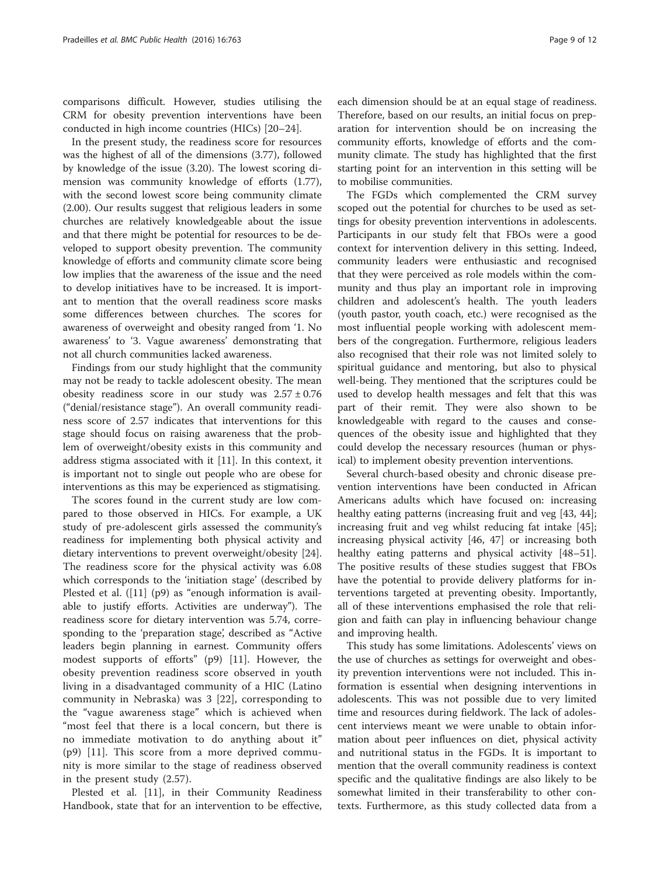comparisons difficult. However, studies utilising the CRM for obesity prevention interventions have been conducted in high income countries (HICs) [[20](#page-10-0)–[24](#page-10-0)].

In the present study, the readiness score for resources was the highest of all of the dimensions (3.77), followed by knowledge of the issue (3.20). The lowest scoring dimension was community knowledge of efforts (1.77), with the second lowest score being community climate (2.00). Our results suggest that religious leaders in some churches are relatively knowledgeable about the issue and that there might be potential for resources to be developed to support obesity prevention. The community knowledge of efforts and community climate score being low implies that the awareness of the issue and the need to develop initiatives have to be increased. It is important to mention that the overall readiness score masks some differences between churches. The scores for awareness of overweight and obesity ranged from '1. No awareness' to '3. Vague awareness' demonstrating that not all church communities lacked awareness.

Findings from our study highlight that the community may not be ready to tackle adolescent obesity. The mean obesity readiness score in our study was  $2.57 \pm 0.76$ ("denial/resistance stage"). An overall community readiness score of 2.57 indicates that interventions for this stage should focus on raising awareness that the problem of overweight/obesity exists in this community and address stigma associated with it [[11](#page-10-0)]. In this context, it is important not to single out people who are obese for interventions as this may be experienced as stigmatising.

The scores found in the current study are low compared to those observed in HICs. For example, a UK study of pre-adolescent girls assessed the community's readiness for implementing both physical activity and dietary interventions to prevent overweight/obesity [\[24](#page-10-0)]. The readiness score for the physical activity was 6.08 which corresponds to the 'initiation stage' (described by Plested et al. ([[11\]](#page-10-0) (p9) as "enough information is available to justify efforts. Activities are underway"). The readiness score for dietary intervention was 5.74, corresponding to the 'preparation stage', described as "Active leaders begin planning in earnest. Community offers modest supports of efforts" (p9) [\[11](#page-10-0)]. However, the obesity prevention readiness score observed in youth living in a disadvantaged community of a HIC (Latino community in Nebraska) was 3 [[22\]](#page-10-0), corresponding to the "vague awareness stage" which is achieved when "most feel that there is a local concern, but there is no immediate motivation to do anything about it" (p9) [[11\]](#page-10-0). This score from a more deprived community is more similar to the stage of readiness observed in the present study (2.57).

Plested et al. [\[11](#page-10-0)], in their Community Readiness Handbook, state that for an intervention to be effective,

each dimension should be at an equal stage of readiness. Therefore, based on our results, an initial focus on preparation for intervention should be on increasing the community efforts, knowledge of efforts and the community climate. The study has highlighted that the first starting point for an intervention in this setting will be to mobilise communities.

The FGDs which complemented the CRM survey scoped out the potential for churches to be used as settings for obesity prevention interventions in adolescents. Participants in our study felt that FBOs were a good context for intervention delivery in this setting. Indeed, community leaders were enthusiastic and recognised that they were perceived as role models within the community and thus play an important role in improving children and adolescent's health. The youth leaders (youth pastor, youth coach, etc.) were recognised as the most influential people working with adolescent members of the congregation. Furthermore, religious leaders also recognised that their role was not limited solely to spiritual guidance and mentoring, but also to physical well-being. They mentioned that the scriptures could be used to develop health messages and felt that this was part of their remit. They were also shown to be knowledgeable with regard to the causes and consequences of the obesity issue and highlighted that they could develop the necessary resources (human or physical) to implement obesity prevention interventions.

Several church-based obesity and chronic disease prevention interventions have been conducted in African Americans adults which have focused on: increasing healthy eating patterns (increasing fruit and veg [\[43](#page-11-0), [44](#page-11-0)]; increasing fruit and veg whilst reducing fat intake [\[45](#page-11-0)]; increasing physical activity [\[46](#page-11-0), [47](#page-11-0)] or increasing both healthy eating patterns and physical activity [[48](#page-11-0)–[51](#page-11-0)]. The positive results of these studies suggest that FBOs have the potential to provide delivery platforms for interventions targeted at preventing obesity. Importantly, all of these interventions emphasised the role that religion and faith can play in influencing behaviour change and improving health.

This study has some limitations. Adolescents' views on the use of churches as settings for overweight and obesity prevention interventions were not included. This information is essential when designing interventions in adolescents. This was not possible due to very limited time and resources during fieldwork. The lack of adolescent interviews meant we were unable to obtain information about peer influences on diet, physical activity and nutritional status in the FGDs. It is important to mention that the overall community readiness is context specific and the qualitative findings are also likely to be somewhat limited in their transferability to other contexts. Furthermore, as this study collected data from a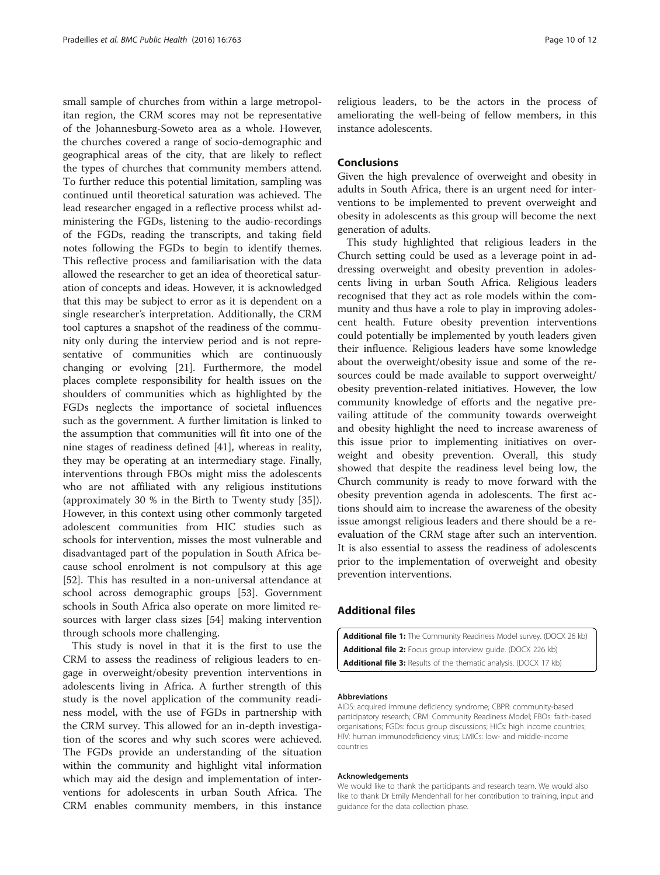<span id="page-9-0"></span>small sample of churches from within a large metropolitan region, the CRM scores may not be representative of the Johannesburg-Soweto area as a whole. However, the churches covered a range of socio-demographic and geographical areas of the city, that are likely to reflect the types of churches that community members attend. To further reduce this potential limitation, sampling was continued until theoretical saturation was achieved. The lead researcher engaged in a reflective process whilst administering the FGDs, listening to the audio-recordings of the FGDs, reading the transcripts, and taking field notes following the FGDs to begin to identify themes. This reflective process and familiarisation with the data allowed the researcher to get an idea of theoretical saturation of concepts and ideas. However, it is acknowledged that this may be subject to error as it is dependent on a single researcher's interpretation. Additionally, the CRM tool captures a snapshot of the readiness of the community only during the interview period and is not representative of communities which are continuously changing or evolving [\[21\]](#page-10-0). Furthermore, the model places complete responsibility for health issues on the shoulders of communities which as highlighted by the FGDs neglects the importance of societal influences such as the government. A further limitation is linked to the assumption that communities will fit into one of the nine stages of readiness defined [\[41\]](#page-11-0), whereas in reality, they may be operating at an intermediary stage. Finally, interventions through FBOs might miss the adolescents who are not affiliated with any religious institutions (approximately 30 % in the Birth to Twenty study [\[35](#page-11-0)]). However, in this context using other commonly targeted adolescent communities from HIC studies such as schools for intervention, misses the most vulnerable and disadvantaged part of the population in South Africa because school enrolment is not compulsory at this age [[52\]](#page-11-0). This has resulted in a non-universal attendance at school across demographic groups [[53](#page-11-0)]. Government schools in South Africa also operate on more limited resources with larger class sizes [\[54](#page-11-0)] making intervention through schools more challenging.

This study is novel in that it is the first to use the CRM to assess the readiness of religious leaders to engage in overweight/obesity prevention interventions in adolescents living in Africa. A further strength of this study is the novel application of the community readiness model, with the use of FGDs in partnership with the CRM survey. This allowed for an in-depth investigation of the scores and why such scores were achieved. The FGDs provide an understanding of the situation within the community and highlight vital information which may aid the design and implementation of interventions for adolescents in urban South Africa. The CRM enables community members, in this instance religious leaders, to be the actors in the process of ameliorating the well-being of fellow members, in this instance adolescents.

#### Conclusions

Given the high prevalence of overweight and obesity in adults in South Africa, there is an urgent need for interventions to be implemented to prevent overweight and obesity in adolescents as this group will become the next generation of adults.

This study highlighted that religious leaders in the Church setting could be used as a leverage point in addressing overweight and obesity prevention in adolescents living in urban South Africa. Religious leaders recognised that they act as role models within the community and thus have a role to play in improving adolescent health. Future obesity prevention interventions could potentially be implemented by youth leaders given their influence. Religious leaders have some knowledge about the overweight/obesity issue and some of the resources could be made available to support overweight/ obesity prevention-related initiatives. However, the low community knowledge of efforts and the negative prevailing attitude of the community towards overweight and obesity highlight the need to increase awareness of this issue prior to implementing initiatives on overweight and obesity prevention. Overall, this study showed that despite the readiness level being low, the Church community is ready to move forward with the obesity prevention agenda in adolescents. The first actions should aim to increase the awareness of the obesity issue amongst religious leaders and there should be a reevaluation of the CRM stage after such an intervention. It is also essential to assess the readiness of adolescents prior to the implementation of overweight and obesity prevention interventions.

#### Additional files

[Additional file 1:](dx.doi.org/10.1186/s12889-016-3451-9) The Community Readiness Model survey. (DOCX 26 kb) [Additional file 2:](dx.doi.org/10.1186/s12889-016-3451-9) Focus group interview guide. (DOCX 226 kb) [Additional file 3:](dx.doi.org/10.1186/s12889-016-3451-9) Results of the thematic analysis. (DOCX 17 kb)

#### Abbreviations

AIDS: acquired immune deficiency syndrome; CBPR: community-based participatory research; CRM: Community Readiness Model; FBOs: faith-based organisations; FGDs: focus group discussions; HICs: high income countries; HIV: human immunodeficiency virus; LMICs: low- and middle-income countries

#### Acknowledgements

We would like to thank the participants and research team. We would also like to thank Dr Emily Mendenhall for her contribution to training, input and guidance for the data collection phase.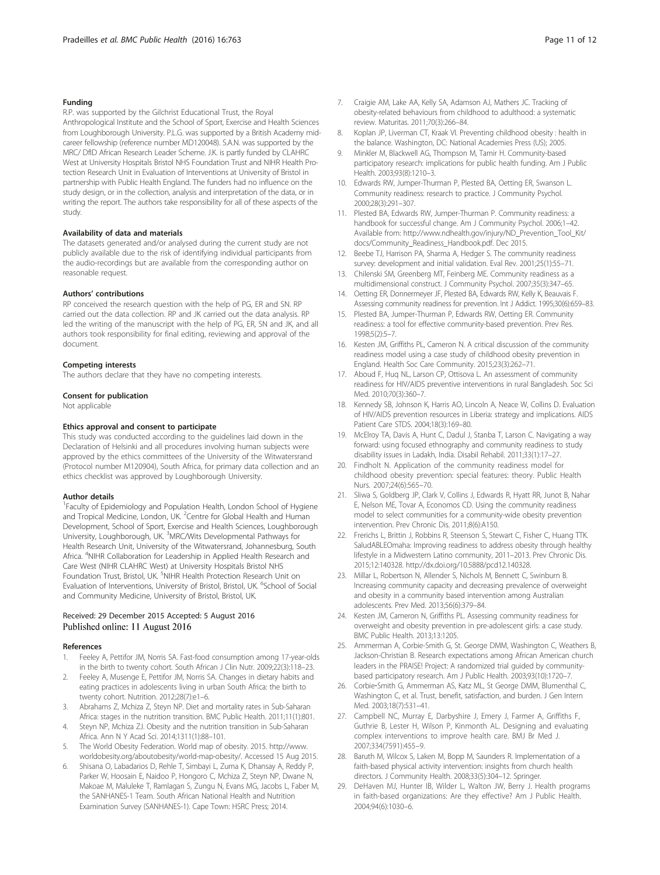#### <span id="page-10-0"></span>Funding

R.P. was supported by the Gilchrist Educational Trust, the Royal Anthropological Institute and the School of Sport, Exercise and Health Sciences from Loughborough University. P.L.G. was supported by a British Academy midcareer fellowship (reference number MD120048). S.A.N. was supported by the MRC/ DfID African Research Leader Scheme. J.K. is partly funded by CLAHRC West at University Hospitals Bristol NHS Foundation Trust and NIHR Health Protection Research Unit in Evaluation of Interventions at University of Bristol in partnership with Public Health England. The funders had no influence on the study design, or in the collection, analysis and interpretation of the data, or in writing the report. The authors take responsibility for all of these aspects of the study.

#### Availability of data and materials

The datasets generated and/or analysed during the current study are not publicly available due to the risk of identifying individual participants from the audio-recordings but are available from the corresponding author on reasonable request.

#### Authors' contributions

RP conceived the research question with the help of PG, ER and SN. RP carried out the data collection. RP and JK carried out the data analysis. RP led the writing of the manuscript with the help of PG, ER, SN and JK, and all authors took responsibility for final editing, reviewing and approval of the document.

#### Competing interests

The authors declare that they have no competing interests.

#### Consent for publication

Not applicable

#### Ethics approval and consent to participate

This study was conducted according to the guidelines laid down in the Declaration of Helsinki and all procedures involving human subjects were approved by the ethics committees of the University of the Witwatersrand (Protocol number M120904), South Africa, for primary data collection and an ethics checklist was approved by Loughborough University.

#### Author details

<sup>1</sup> Faculty of Epidemiology and Population Health, London School of Hygiene and Tropical Medicine, London, UK. <sup>2</sup>Centre for Global Health and Human Development, School of Sport, Exercise and Health Sciences, Loughborough University, Loughborough, UK. <sup>3</sup>MRC/Wits Developmental Pathways for Health Research Unit, University of the Witwatersrand, Johannesburg, South Africa. <sup>4</sup>NIHR Collaboration for Leadership in Applied Health Research and Care West (NIHR CLAHRC West) at University Hospitals Bristol NHS Foundation Trust, Bristol, UK. <sup>5</sup>NIHR Health Protection Research Unit on Evaluation of Interventions, University of Bristol, Bristol, UK. <sup>6</sup>School of Social and Community Medicine, University of Bristol, Bristol, UK.

#### Received: 29 December 2015 Accepted: 5 August 2016 Published online: 11 August 2016

#### References

- 1. Feeley A, Pettifor JM, Norris SA. Fast-food consumption among 17-year-olds in the birth to twenty cohort. South African J Clin Nutr. 2009;22(3):118–23.
- 2. Feeley A, Musenge E, Pettifor JM, Norris SA. Changes in dietary habits and eating practices in adolescents living in urban South Africa: the birth to twenty cohort. Nutrition. 2012;28(7):e1–6.
- 3. Abrahams Z, Mchiza Z, Steyn NP. Diet and mortality rates in Sub-Saharan Africa: stages in the nutrition transition. BMC Public Health. 2011;11(1):801.
- 4. Steyn NP, Mchiza ZJ. Obesity and the nutrition transition in Sub-Saharan Africa. Ann N Y Acad Sci. 2014;1311(1):88–101.
- 5. The World Obesity Federation. World map of obesity. 2015. [http://www.](http://www.worldobesity.org/aboutobesity/world-map-obesity/) [worldobesity.org/aboutobesity/world-map-obesity/](http://www.worldobesity.org/aboutobesity/world-map-obesity/). Accessed 15 Aug 2015.
- 6. Shisana O, Labadarios D, Rehle T, Simbayi L, Zuma K, Dhansay A, Reddy P, Parker W, Hoosain E, Naidoo P, Hongoro C, Mchiza Z, Steyn NP, Dwane N, Makoae M, Maluleke T, Ramlagan S, Zungu N, Evans MG, Jacobs L, Faber M, the SANHANES-1 Team. South African National Health and Nutrition Examination Survey (SANHANES-1). Cape Town: HSRC Press; 2014.
- 7. Craigie AM, Lake AA, Kelly SA, Adamson AJ, Mathers JC. Tracking of obesity-related behaviours from childhood to adulthood: a systematic review. Maturitas. 2011;70(3):266–84.
- 8. Koplan JP, Liverman CT, Kraak VI. Preventing childhood obesity : health in the balance. Washington, DC: National Academies Press (US); 2005.
- 9. Minkler M, Blackwell AG, Thompson M, Tamir H. Community-based participatory research: implications for public health funding. Am J Public Health. 2003;93(8):1210–3.
- 10. Edwards RW, Jumper-Thurman P, Plested BA, Oetting ER, Swanson L. Community readiness: research to practice. J Community Psychol. 2000;28(3):291–307.
- 11. Plested BA, Edwards RW, Jumper-Thurman P. Community readiness: a handbook for successful change. Am J Community Psychol. 2006;1–42. Available from: [http://www.ndhealth.gov/injury/ND\\_Prevention\\_Tool\\_Kit/](http://www.ndhealth.gov/injury/ND_Prevention_Tool_Kit/docs/Community_Readiness_Handbook.pdf) [docs/Community\\_Readiness\\_Handbook.pdf.](http://www.ndhealth.gov/injury/ND_Prevention_Tool_Kit/docs/Community_Readiness_Handbook.pdf) Dec 2015.
- 12. Beebe TJ, Harrison PA, Sharma A, Hedger S. The community readiness survey: development and initial validation. Eval Rev. 2001;25(1):55–71.
- 13. Chilenski SM, Greenberg MT, Feinberg ME. Community readiness as a multidimensional construct. J Community Psychol. 2007;35(3):347–65.
- 14. Oetting ER, Donnermeyer JF, Plested BA, Edwards RW, Kelly K, Beauvais F. Assessing community readiness for prevention. Int J Addict. 1995;30(6):659–83.
- 15. Plested BA, Jumper-Thurman P, Edwards RW, Oetting ER. Community readiness: a tool for effective community-based prevention. Prev Res. 1998;5(2):5–7.
- 16. Kesten JM, Griffiths PL, Cameron N. A critical discussion of the community readiness model using a case study of childhood obesity prevention in England. Health Soc Care Community. 2015;23(3):262–71.
- 17. Aboud F, Hug NL, Larson CP, Ottisova L. An assessment of community readiness for HIV/AIDS preventive interventions in rural Bangladesh. Soc Sci Med. 2010;70(3):360–7.
- 18. Kennedy SB, Johnson K, Harris AO, Lincoln A, Neace W, Collins D. Evaluation of HIV/AIDS prevention resources in Liberia: strategy and implications. AIDS Patient Care STDS. 2004;18(3):169–80.
- 19. McElroy TA, Davis A, Hunt C, Dadul J, Stanba T, Larson C. Navigating a way forward: using focused ethnography and community readiness to study disability issues in Ladakh, India. Disabil Rehabil. 2011;33(1):17–27.
- 20. Findholt N. Application of the community readiness model for childhood obesity prevention: special features: theory. Public Health Nurs. 2007;24(6):565–70.
- 21. Sliwa S, Goldberg JP, Clark V, Collins J, Edwards R, Hyatt RR, Junot B, Nahar E, Nelson ME, Tovar A, Economos CD. Using the community readiness model to select communities for a community-wide obesity prevention intervention. Prev Chronic Dis. 2011;8(6):A150.
- 22. Frerichs L, Brittin J, Robbins R, Steenson S, Stewart C, Fisher C, Huang TTK. SaludABLEOmaha: Improving readiness to address obesity through healthy lifestyle in a Midwestern Latino community, 2011–2013. Prev Chronic Dis. 2015;12:140328.<http://dx.doi.org/10.5888/pcd12.140328>.
- 23. Millar L, Robertson N, Allender S, Nichols M, Bennett C, Swinburn B. Increasing community capacity and decreasing prevalence of overweight and obesity in a community based intervention among Australian adolescents. Prev Med. 2013;56(6):379–84.
- 24. Kesten JM, Cameron N, Griffiths PL. Assessing community readiness for overweight and obesity prevention in pre-adolescent girls: a case study. BMC Public Health. 2013;13:1205.
- 25. Ammerman A, Corbie-Smith G, St. George DMM, Washington C, Weathers B, Jackson-Christian B. Research expectations among African American church leaders in the PRAISE! Project: A randomized trial guided by communitybased participatory research. Am J Public Health. 2003;93(10):1720–7.
- 26. Corbie-Smith G, Ammerman AS, Katz ML, St George DMM, Blumenthal C, Washington C, et al. Trust, benefit, satisfaction, and burden. J Gen Intern Med. 2003;18(7):531–41.
- 27. Campbell NC, Murray E, Darbyshire J, Emery J, Farmer A, Griffiths F, Guthrie B, Lester H, Wilson P, Kinmonth AL. Designing and evaluating complex interventions to improve health care. BMJ Br Med J. 2007;334(7591):455–9.
- 28. Baruth M, Wilcox S, Laken M, Bopp M, Saunders R. Implementation of a faith-based physical activity intervention: insights from church health directors. J Community Health. 2008;33(5):304–12. Springer.
- 29. DeHaven MJ, Hunter IB, Wilder L, Walton JW, Berry J. Health programs in faith-based organizations: Are they effective? Am J Public Health. 2004;94(6):1030–6.